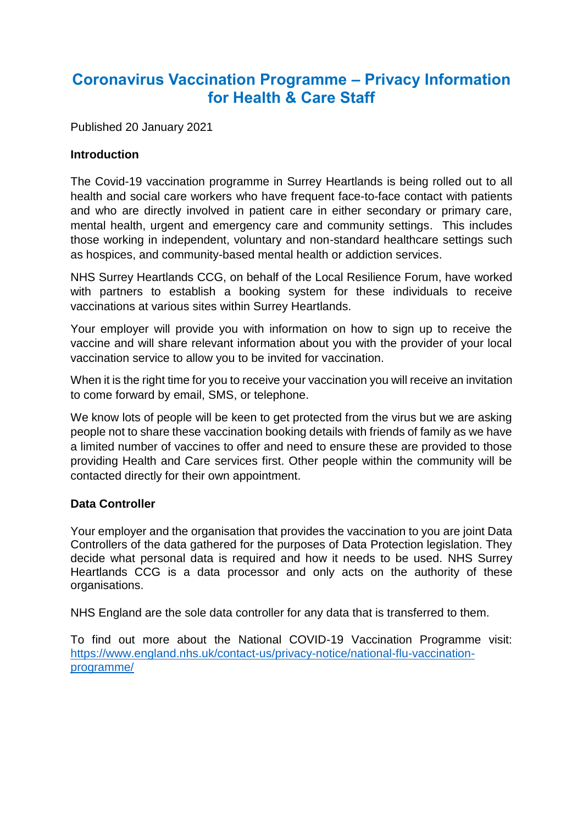# **Coronavirus Vaccination Programme – Privacy Information for Health & Care Staff**

Published 20 January 2021

## **Introduction**

The Covid-19 vaccination programme in Surrey Heartlands is being rolled out to all health and social care workers who have frequent face-to-face contact with patients and who are directly involved in patient care in either secondary or primary care, mental health, urgent and emergency care and community settings. This includes those working in independent, voluntary and non-standard healthcare settings such as hospices, and community-based mental health or addiction services.

NHS Surrey Heartlands CCG, on behalf of the Local Resilience Forum, have worked with partners to establish a booking system for these individuals to receive vaccinations at various sites within Surrey Heartlands.

Your employer will provide you with information on how to sign up to receive the vaccine and will share relevant information about you with the provider of your local vaccination service to allow you to be invited for vaccination.

When it is the right time for you to receive your vaccination you will receive an invitation to come forward by email, SMS, or telephone.

We know lots of people will be keen to get protected from the virus but we are asking people not to share these vaccination booking details with friends of family as we have a limited number of vaccines to offer and need to ensure these are provided to those providing Health and Care services first. Other people within the community will be contacted directly for their own appointment.

### **Data Controller**

Your employer and the organisation that provides the vaccination to you are joint Data Controllers of the data gathered for the purposes of Data Protection legislation. They decide what personal data is required and how it needs to be used. NHS Surrey Heartlands CCG is a data processor and only acts on the authority of these organisations.

NHS England are the sole data controller for any data that is transferred to them.

To find out more about the National COVID-19 Vaccination Programme visit: [https://www.england.nhs.uk/contact-us/privacy-notice/national-flu-vaccination](https://www.england.nhs.uk/contact-us/privacy-notice/national-flu-vaccination-programme/)[programme/](https://www.england.nhs.uk/contact-us/privacy-notice/national-flu-vaccination-programme/)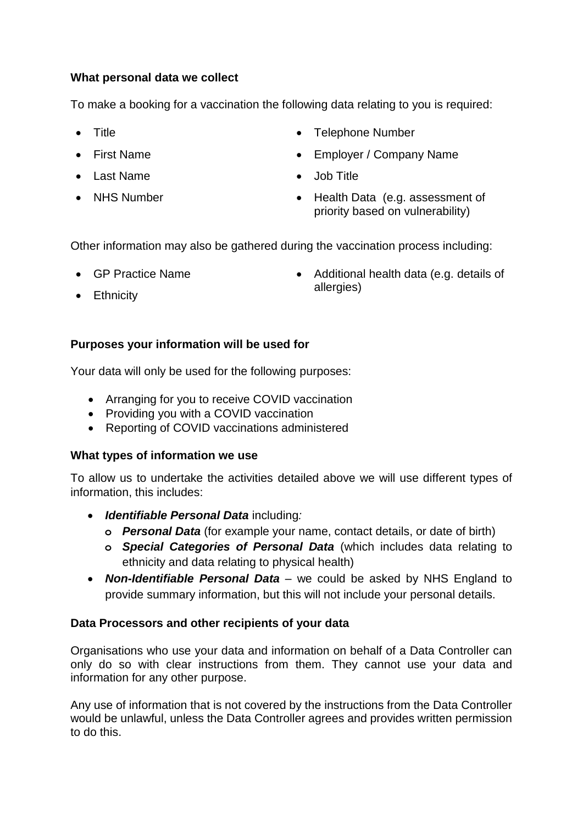## **What personal data we collect**

To make a booking for a vaccination the following data relating to you is required:

- **Title**
- First Name
- Last Name
- NHS Number
- Telephone Number
- Employer / Company Name
- Job Title
- Health Data (e.g. assessment of priority based on vulnerability)

Other information may also be gathered during the vaccination process including:

GP Practice Name

• Additional health data (e.g. details of allergies)

• Ethnicity

# **Purposes your information will be used for**

Your data will only be used for the following purposes:

- Arranging for you to receive COVID vaccination
- Providing you with a COVID vaccination
- Reporting of COVID vaccinations administered

### **What types of information we use**

To allow us to undertake the activities detailed above we will use different types of information, this includes:

- *Identifiable Personal Data* including*:* 
	- **o** *Personal Data* (for example your name, contact details, or date of birth)
	- **o** *Special Categories of Personal Data* (which includes data relating to ethnicity and data relating to physical health)
- *Non-Identifiable Personal Data* we could be asked by NHS England to provide summary information, but this will not include your personal details.

### **Data Processors and other recipients of your data**

Organisations who use your data and information on behalf of a Data Controller can only do so with clear instructions from them. They cannot use your data and information for any other purpose.

Any use of information that is not covered by the instructions from the Data Controller would be unlawful, unless the Data Controller agrees and provides written permission to do this.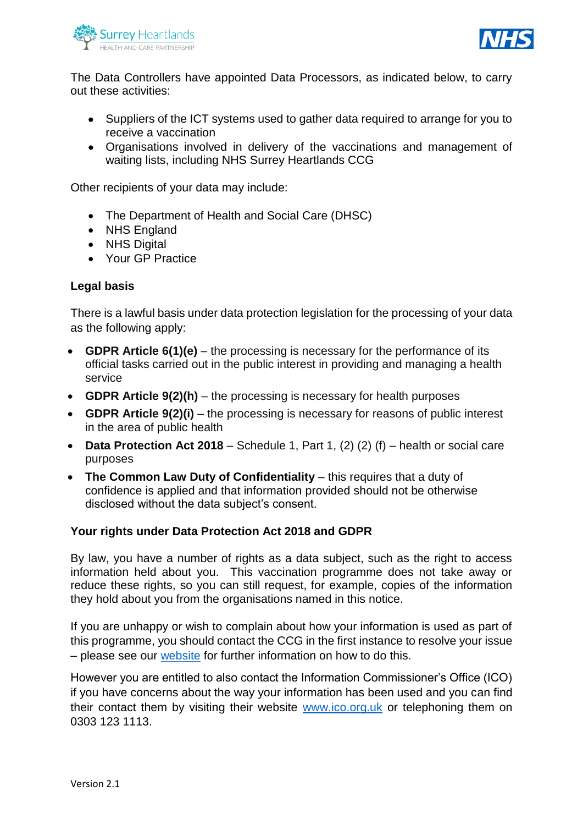



The Data Controllers have appointed Data Processors, as indicated below, to carry out these activities:

- Suppliers of the ICT systems used to gather data required to arrange for you to receive a vaccination
- Organisations involved in delivery of the vaccinations and management of waiting lists, including NHS Surrey Heartlands CCG

Other recipients of your data may include:

- The Department of Health and Social Care (DHSC)
- NHS England
- NHS Digital
- Your GP Practice

#### **Legal basis**

There is a lawful basis under data protection legislation for the processing of your data as the following apply:

- **GDPR Article 6(1)(e)** the processing is necessary for the performance of its official tasks carried out in the public interest in providing and managing a health service
- **GDPR Article 9(2)(h)** the processing is necessary for health purposes
- **GDPR Article 9(2)(i)** the processing is necessary for reasons of public interest in the area of public health
- **Data Protection Act 2018** Schedule 1, Part 1, (2) (2) (f) health or social care purposes
- **The Common Law Duty of Confidentiality** this requires that a duty of confidence is applied and that information provided should not be otherwise disclosed without the data subject's consent.

#### **Your rights under Data Protection Act 2018 and GDPR**

By law, you have a number of rights as a data subject, such as the right to access information held about you. This vaccination programme does not take away or reduce these rights, so you can still request, for example, copies of the information they hold about you from the organisations named in this notice.

If you are unhappy or wish to complain about how your information is used as part of this programme, you should contact the CCG in the first instance to resolve your issue – please see our [website](http://www.surreyheartlandsccg.nhs.uk/) for further information on how to do this.

However you are entitled to also contact the Information Commissioner's Office (ICO) if you have concerns about the way your information has been used and you can find their contact them by visiting their website [www.ico.org.uk](http://www.ico.org.uk/) or telephoning them on 0303 123 1113.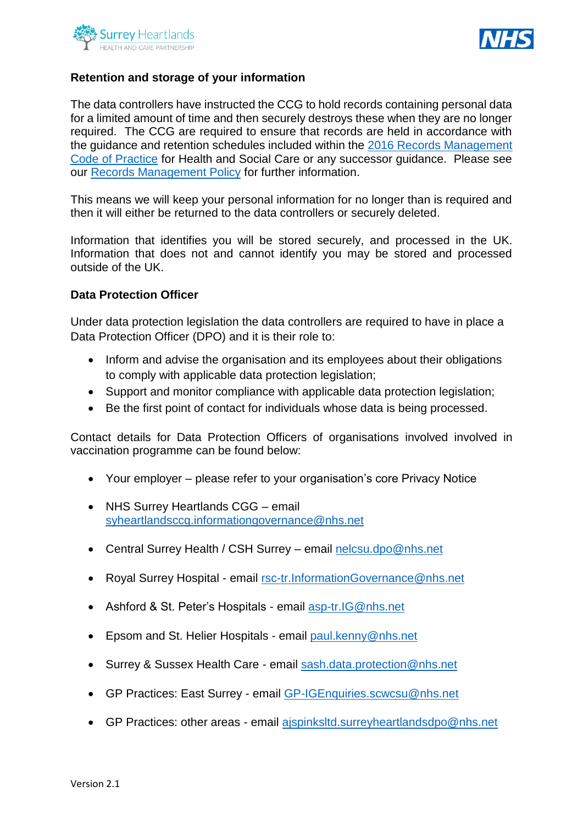



## **Retention and storage of your information**

The data controllers have instructed the CCG to hold records containing personal data for a limited amount of time and then securely destroys these when they are no longer required. The CCG are required to ensure that records are held in accordance with the guidance and retention schedules included within the [2016 Records Management](https://digital.nhs.uk/data-and-information/looking-after-information/data-security-and-information-governance/codes-of-practice-for-handling-information-in-health-and-care/records-management-code-of-practice-for-health-and-social-care-2016)  [Code of Practice](https://digital.nhs.uk/data-and-information/looking-after-information/data-security-and-information-governance/codes-of-practice-for-handling-information-in-health-and-care/records-management-code-of-practice-for-health-and-social-care-2016) for Health and Social Care or any successor guidance. Please see our [Records Management Policy](http://www.surreyheartlandsccg.nhs.uk/index.php?option=com_content&view=article&id=35&Itemid=211) for further information.

This means we will keep your personal information for no longer than is required and then it will either be returned to the data controllers or securely deleted.

Information that identifies you will be stored securely, and processed in the UK. Information that does not and cannot identify you may be stored and processed outside of the UK.

#### **Data Protection Officer**

Under data protection legislation the data controllers are required to have in place a Data Protection Officer (DPO) and it is their role to:

- Inform and advise the organisation and its employees about their obligations to comply with applicable data protection legislation;
- Support and monitor compliance with applicable data protection legislation;
- Be the first point of contact for individuals whose data is being processed.

Contact details for Data Protection Officers of organisations involved involved in vaccination programme can be found below:

- Your employer please refer to your organisation's core Privacy Notice
- NHS Surrey Heartlands CGG email [syheartlandsccg.informationgovernance@nhs.net](mailto:syheartlandsccg.informationgovernance@nhs.net)
- Central Surrey Health / CSH Surrey email [nelcsu.dpo@nhs.net](mailto:nelcsu.dpo@nhs.net)
- Royal Surrey Hospital email [rsc-tr.InformationGovernance@nhs.net](mailto:rsc-tr.InformationGovernance@nhs.net)
- Ashford & St. Peter's Hospitals email [asp-tr.IG@nhs.net](mailto:asp-tr.IG@nhs.net)
- Epsom and St. Helier Hospitals email [paul.kenny@nhs.net](mailto:paul.kenny@nhs.net)
- Surrey & Sussex Health Care email [sash.data.protection@nhs.net](mailto:sash.data.protection@nhs.net)
- GP Practices: East Surrey email [GP-IGEnquiries.scwcsu@nhs.net](mailto:GP-IGEnquiries.scwcsu@nhs.net)
- GP Practices: other areas email aispinksltd.surreyheartlandsdpo@nhs.net